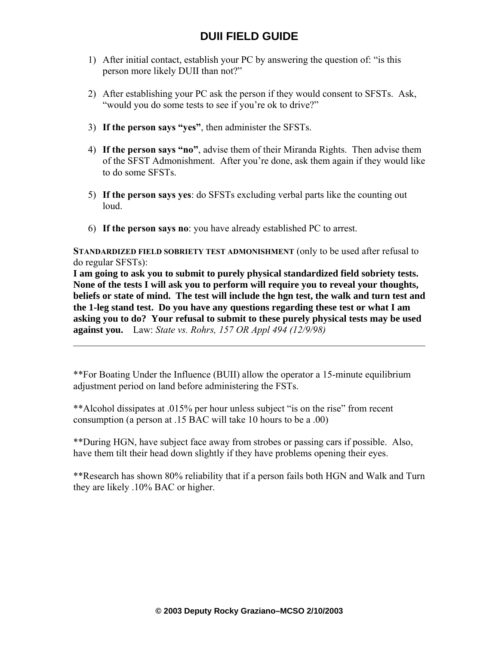# **DUII FIELD GUIDE**

- 1) After initial contact, establish your PC by answering the question of: "is this person more likely DUII than not?"
- 2) After establishing your PC ask the person if they would consent to SFSTs. Ask, "would you do some tests to see if you're ok to drive?"
- 3) **If the person says "yes"**, then administer the SFSTs.
- 4) **If the person says "no"**, advise them of their Miranda Rights. Then advise them of the SFST Admonishment. After you're done, ask them again if they would like to do some SFSTs.
- 5) **If the person says yes**: do SFSTs excluding verbal parts like the counting out loud.
- 6) **If the person says no**: you have already established PC to arrest.

**STANDARDIZED FIELD SOBRIETY TEST ADMONISHMENT** (only to be used after refusal to do regular SFSTs):

**I am going to ask you to submit to purely physical standardized field sobriety tests. None of the tests I will ask you to perform will require you to reveal your thoughts, beliefs or state of mind. The test will include the hgn test, the walk and turn test and the 1-leg stand test. Do you have any questions regarding these test or what I am asking you to do? Your refusal to submit to these purely physical tests may be used against you.** Law: *State vs. Rohrs, 157 OR Appl 494 (12/9/98)*

 $\mathcal{L}_\text{max}$  , and the contribution of the contribution of the contribution of the contribution of the contribution of the contribution of the contribution of the contribution of the contribution of the contribution of t

\*\*For Boating Under the Influence (BUII) allow the operator a 15-minute equilibrium adjustment period on land before administering the FSTs.

\*\*Alcohol dissipates at .015% per hour unless subject "is on the rise" from recent consumption (a person at .15 BAC will take 10 hours to be a .00)

\*\*During HGN, have subject face away from strobes or passing cars if possible. Also, have them tilt their head down slightly if they have problems opening their eyes.

\*\*Research has shown 80% reliability that if a person fails both HGN and Walk and Turn they are likely .10% BAC or higher.